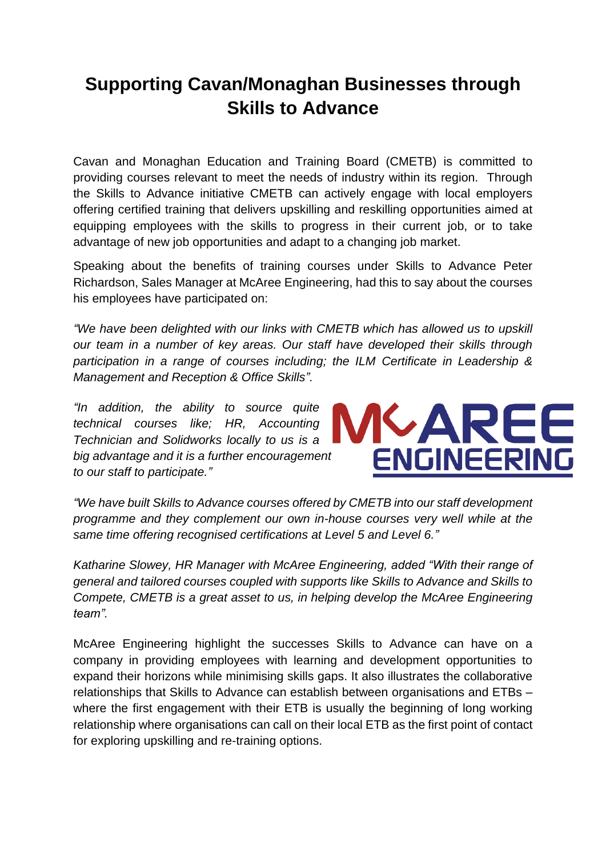## **Supporting Cavan/Monaghan Businesses through Skills to Advance**

Cavan and Monaghan Education and Training Board (CMETB) is committed to providing courses relevant to meet the needs of industry within its region. Through the Skills to Advance initiative CMETB can actively engage with local employers offering certified training that delivers upskilling and reskilling opportunities aimed at equipping employees with the skills to progress in their current job, or to take advantage of new job opportunities and adapt to a changing job market.

Speaking about the benefits of training courses under Skills to Advance Peter Richardson, Sales Manager at McAree Engineering, had this to say about the courses his employees have participated on:

*"We have been delighted with our links with CMETB which has allowed us to upskill our team in a number of key areas. Our staff have developed their skills through participation in a range of courses including; the ILM Certificate in Leadership & Management and Reception & Office Skills".*

*"In addition, the ability to source quite technical courses like; HR, Accounting Technician and Solidworks locally to us is a big advantage and it is a further encouragement to our staff to participate."*



*"We have built Skills to Advance courses offered by CMETB into our staff development programme and they complement our own in-house courses very well while at the same time offering recognised certifications at Level 5 and Level 6."*

*Katharine Slowey, HR Manager with McAree Engineering, added "With their range of general and tailored courses coupled with supports like Skills to Advance and Skills to Compete, CMETB is a great asset to us, in helping develop the McAree Engineering team".*

McAree Engineering highlight the successes Skills to Advance can have on a company in providing employees with learning and development opportunities to expand their horizons while minimising skills gaps. It also illustrates the collaborative relationships that Skills to Advance can establish between organisations and ETBs – where the first engagement with their ETB is usually the beginning of long working relationship where organisations can call on their local ETB as the first point of contact for exploring upskilling and re-training options.